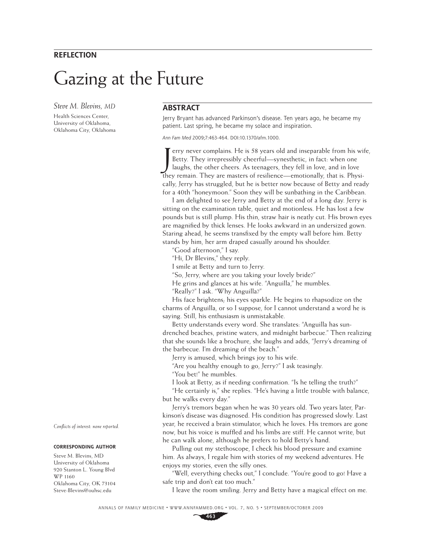### **REFLECTION**

# Gazing at the Future

*Steve M. Blevins, MD*

Health Sciences Center, University of Oklahoma, Oklahoma City, Oklahoma

## **ABSTRACT**

Jerry Bryant has advanced Parkinson's disease. Ten years ago, he became my patient. Last spring, he became my solace and inspiration.

Ann Fam Med 2009;7:463-464. DOI:10.1370/afm.1000.

Ferry never complains. He is 58 years old and inseparable from his wifeld betty. They irrepressibly cheerful—synesthetic, in fact: when one laughs, the other cheers. As teenagers, they fell in love, and in love they remain erry never complains. He is 58 years old and inseparable from his wife, Betty. They irrepressibly cheerful—synesthetic, in fact: when one laughs, the other cheers. As teenagers, they fell in love, and in love cally, Jerry has struggled, but he is better now because of Betty and ready for a 40th "honeymoon." Soon they will be sunbathing in the Caribbean.

I am delighted to see Jerry and Betty at the end of a long day. Jerry is sitting on the examination table, quiet and motionless. He has lost a few pounds but is still plump. His thin, straw hair is neatly cut. His brown eyes are magnified by thick lenses. He looks awkward in an undersized gown. Staring ahead, he seems transfixed by the empty wall before him. Betty stands by him, her arm draped casually around his shoulder.

"Good afternoon," I say.

"Hi, Dr Blevins," they reply.

I smile at Betty and turn to Jerry.

"So, Jerry, where are you taking your lovely bride?"

He grins and glances at his wife. "Anguilla," he mumbles.

"Really?" I ask. "Why Anguilla?"

His face brightens; his eyes sparkle. He begins to rhapsodize on the charms of Anguilla, or so I suppose, for I cannot understand a word he is saying. Still, his enthusiasm is unmistakable.

Betty understands every word. She translates: "Anguilla has sundrenched beaches, pristine waters, and midnight barbecue." Then realizing that she sounds like a brochure, she laughs and adds, "Jerry's dreaming of the barbecue. I'm dreaming of the beach."

Jerry is amused, which brings joy to his wife.

"Are you healthy enough to go, Jerry?" I ask teasingly.

"You bet!" he mumbles.

I look at Betty, as if needing confirmation. "Is he telling the truth?"

"He certainly is," she replies. "He's having a little trouble with balance, but he walks every day."

Jerry's tremors began when he was 30 years old. Two years later, Parkinson's disease was diagnosed. His condition has progressed slowly. Last year, he received a brain stimulator, which he loves. His tremors are gone now, but his voice is muffled and his limbs are stiff. He cannot write, but he can walk alone, although he prefers to hold Betty's hand.

Pulling out my stethoscope, I check his blood pressure and examine him. As always, I regale him with stories of my weekend adventures. He enjoys my stories, even the silly ones.

"Well, everything checks out," I conclude. "You're good to go! Have a safe trip and don't eat too much."

I leave the room smiling. Jerry and Betty have a magical effect on me.

ANNALS OF FAMILY MEDICINE ✦ WWW.ANNFAMMED.ORG ✦ VOL. 7, NO. 5 ✦ SEPTEMBER/OCTOBER 2009

*Confl icts of interest: none reported.*

#### **CORRESPONDING AUTHOR**

Steve M. Blevins, MD University of Oklahoma 920 Stanton L. Young Blvd WP 1160 Oklahoma City, OK 73104 Steve-Blevins@ouhsc.edu

**463**